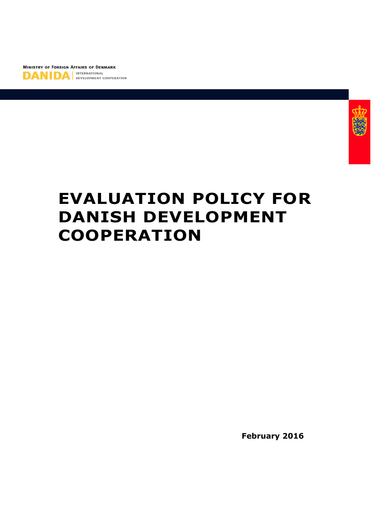



# **EVALUATION POLICY FOR DANISH DEVELOPMENT COOPERATION**

**February 2016**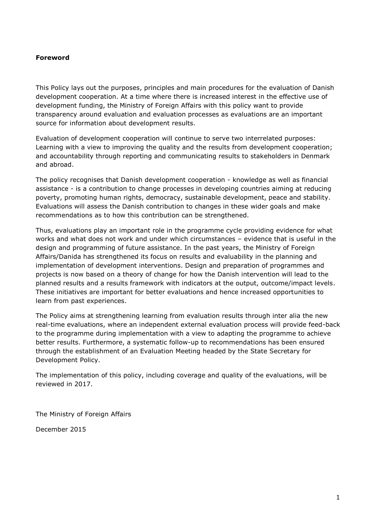#### **Foreword**

This Policy lays out the purposes, principles and main procedures for the evaluation of Danish development cooperation. At a time where there is increased interest in the effective use of development funding, the Ministry of Foreign Affairs with this policy want to provide transparency around evaluation and evaluation processes as evaluations are an important source for information about development results.

Evaluation of development cooperation will continue to serve two interrelated purposes: Learning with a view to improving the quality and the results from development cooperation; and accountability through reporting and communicating results to stakeholders in Denmark and abroad.

The policy recognises that Danish development cooperation - knowledge as well as financial assistance - is a contribution to change processes in developing countries aiming at reducing poverty, promoting human rights, democracy, sustainable development, peace and stability. Evaluations will assess the Danish contribution to changes in these wider goals and make recommendations as to how this contribution can be strengthened.

Thus, evaluations play an important role in the programme cycle providing evidence for what works and what does not work and under which circumstances – evidence that is useful in the design and programming of future assistance. In the past years, the Ministry of Foreign Affairs/Danida has strengthened its focus on results and evaluability in the planning and implementation of development interventions. Design and preparation of programmes and projects is now based on a theory of change for how the Danish intervention will lead to the planned results and a results framework with indicators at the output, outcome/impact levels. These initiatives are important for better evaluations and hence increased opportunities to learn from past experiences.

The Policy aims at strengthening learning from evaluation results through inter alia the new real-time evaluations, where an independent external evaluation process will provide feed-back to the programme during implementation with a view to adapting the programme to achieve better results. Furthermore, a systematic follow-up to recommendations has been ensured through the establishment of an Evaluation Meeting headed by the State Secretary for Development Policy.

The implementation of this policy, including coverage and quality of the evaluations, will be reviewed in 2017.

The Ministry of Foreign Affairs

December 2015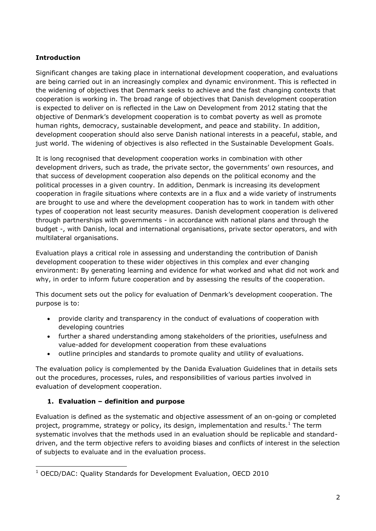# **Introduction**

Significant changes are taking place in international development cooperation, and evaluations are being carried out in an increasingly complex and dynamic environment. This is reflected in the widening of objectives that Denmark seeks to achieve and the fast changing contexts that cooperation is working in. The broad range of objectives that Danish development cooperation is expected to deliver on is reflected in the Law on Development from 2012 stating that the objective of Denmark's development cooperation is to combat poverty as well as promote human rights, democracy, sustainable development, and peace and stability. In addition, development cooperation should also serve Danish national interests in a peaceful, stable, and just world. The widening of objectives is also reflected in the Sustainable Development Goals.

It is long recognised that development cooperation works in combination with other development drivers, such as trade, the private sector, the governments' own resources, and that success of development cooperation also depends on the political economy and the political processes in a given country. In addition, Denmark is increasing its development cooperation in fragile situations where contexts are in a flux and a wide variety of instruments are brought to use and where the development cooperation has to work in tandem with other types of cooperation not least security measures. Danish development cooperation is delivered through partnerships with governments - in accordance with national plans and through the budget -, with Danish, local and international organisations, private sector operators, and with multilateral organisations.

Evaluation plays a critical role in assessing and understanding the contribution of Danish development cooperation to these wider objectives in this complex and ever changing environment: By generating learning and evidence for what worked and what did not work and why, in order to inform future cooperation and by assessing the results of the cooperation.

This document sets out the policy for evaluation of Denmark's development cooperation. The purpose is to:

- provide clarity and transparency in the conduct of evaluations of cooperation with developing countries
- further a shared understanding among stakeholders of the priorities, usefulness and value-added for development cooperation from these evaluations
- outline principles and standards to promote quality and utility of evaluations.

The evaluation policy is complemented by the Danida Evaluation Guidelines that in details sets out the procedures, processes, rules, and responsibilities of various parties involved in evaluation of development cooperation.

# **1. Evaluation – definition and purpose**

-

Evaluation is defined as the systematic and objective assessment of an on-going or completed project, programme, strategy or policy, its design, implementation and results. $1$  The term systematic involves that the methods used in an evaluation should be replicable and standarddriven, and the term objective refers to avoiding biases and conflicts of interest in the selection of subjects to evaluate and in the evaluation process.

<sup>&</sup>lt;sup>1</sup> OECD/DAC: Quality Standards for Development Evaluation, OECD 2010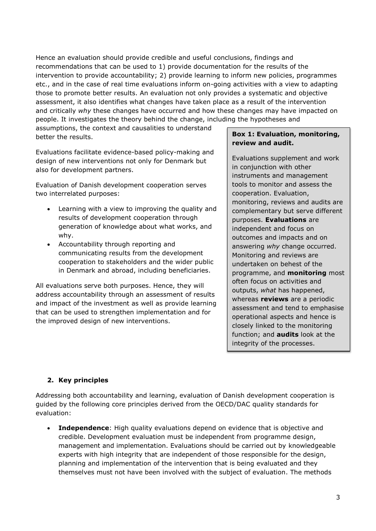Hence an evaluation should provide credible and useful conclusions, findings and recommendations that can be used to 1) provide documentation for the results of the intervention to provide accountability; 2) provide learning to inform new policies, programmes etc., and in the case of real time evaluations inform on-going activities with a view to adapting those to promote better results. An evaluation not only provides a systematic and objective assessment, it also identifies what changes have taken place as a result of the intervention and critically *why* these changes have occurred and how these changes may have impacted on people. It investigates the theory behind the change, including the hypotheses and

assumptions, the context and causalities to understand better the results.

Evaluations facilitate evidence-based policy-making and design of new interventions not only for Denmark but also for development partners.

Evaluation of Danish development cooperation serves two interrelated purposes:

- Learning with a view to improving the quality and results of development cooperation through generation of knowledge about what works, and why.
- Accountability through reporting and communicating results from the development cooperation to stakeholders and the wider public in Denmark and abroad, including beneficiaries.

All evaluations serve both purposes. Hence, they will address accountability through an assessment of results and impact of the investment as well as provide learning that can be used to strengthen implementation and for the improved design of new interventions.

# **Box 1: Evaluation, monitoring, review and audit.**

Evaluations supplement and work in conjunction with other instruments and management tools to monitor and assess the cooperation. Evaluation, monitoring, reviews and audits are complementary but serve different purposes. **Evaluations** are independent and focus on outcomes and impacts and on answering *why* change occurred. Monitoring and reviews are undertaken on behest of the programme, and **monitoring** most often focus on activities and outputs, *what* has happened, whereas **reviews** are a periodic assessment and tend to emphasise operational aspects and hence is closely linked to the monitoring function; and **audits** look at the integrity of the processes.

# **2. Key principles**

Addressing both accountability and learning, evaluation of Danish development cooperation is guided by the following core principles derived from the OECD/DAC quality standards for evaluation:

 **Independence**: High quality evaluations depend on evidence that is objective and credible. Development evaluation must be independent from programme design, management and implementation. Evaluations should be carried out by knowledgeable experts with high integrity that are independent of those responsible for the design, planning and implementation of the intervention that is being evaluated and they themselves must not have been involved with the subject of evaluation. The methods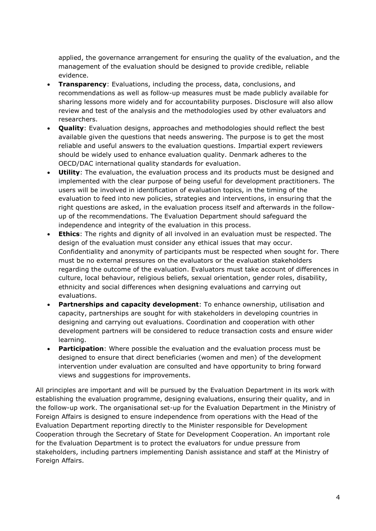applied, the governance arrangement for ensuring the quality of the evaluation, and the management of the evaluation should be designed to provide credible, reliable evidence.

- **Transparency**: Evaluations, including the process, data, conclusions, and recommendations as well as follow-up measures must be made publicly available for sharing lessons more widely and for accountability purposes. Disclosure will also allow review and test of the analysis and the methodologies used by other evaluators and researchers.
- **Quality**: Evaluation designs, approaches and methodologies should reflect the best available given the questions that needs answering. The purpose is to get the most reliable and useful answers to the evaluation questions. Impartial expert reviewers should be widely used to enhance evaluation quality. Denmark adheres to the OECD/DAC international quality standards for evaluation.
- **Utility**: The evaluation, the evaluation process and its products must be designed and implemented with the clear purpose of being useful for development practitioners. The users will be involved in identification of evaluation topics, in the timing of the evaluation to feed into new policies, strategies and interventions, in ensuring that the right questions are asked, in the evaluation process itself and afterwards in the followup of the recommendations. The Evaluation Department should safeguard the independence and integrity of the evaluation in this process.
- **Ethics**: The rights and dignity of all involved in an evaluation must be respected. The design of the evaluation must consider any ethical issues that may occur. Confidentiality and anonymity of participants must be respected when sought for. There must be no external pressures on the evaluators or the evaluation stakeholders regarding the outcome of the evaluation. Evaluators must take account of differences in culture, local behaviour, religious beliefs, sexual orientation, gender roles, disability, ethnicity and social differences when designing evaluations and carrying out evaluations.
- **Partnerships and capacity development**: To enhance ownership, utilisation and capacity, partnerships are sought for with stakeholders in developing countries in designing and carrying out evaluations. Coordination and cooperation with other development partners will be considered to reduce transaction costs and ensure wider learning.
- **Participation:** Where possible the evaluation and the evaluation process must be designed to ensure that direct beneficiaries (women and men) of the development intervention under evaluation are consulted and have opportunity to bring forward views and suggestions for improvements.

All principles are important and will be pursued by the Evaluation Department in its work with establishing the evaluation programme, designing evaluations, ensuring their quality, and in the follow-up work. The organisational set-up for the Evaluation Department in the Ministry of Foreign Affairs is designed to ensure independence from operations with the Head of the Evaluation Department reporting directly to the Minister responsible for Development Cooperation through the Secretary of State for Development Cooperation. An important role for the Evaluation Department is to protect the evaluators for undue pressure from stakeholders, including partners implementing Danish assistance and staff at the Ministry of Foreign Affairs.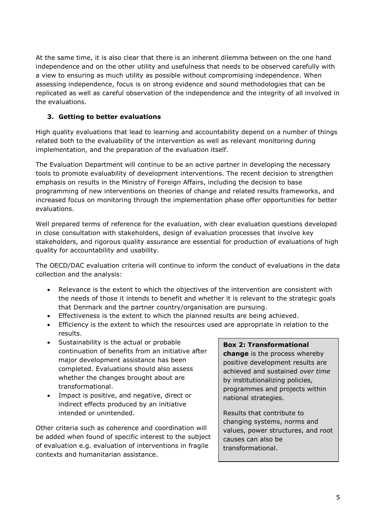At the same time, it is also clear that there is an inherent dilemma between on the one hand independence and on the other utility and usefulness that needs to be observed carefully with a view to ensuring as much utility as possible without compromising independence. When assessing independence, focus is on strong evidence and sound methodologies that can be replicated as well as careful observation of the independence and the integrity of all involved in the evaluations.

# **3. Getting to better evaluations**

High quality evaluations that lead to learning and accountability depend on a number of things related both to the evaluability of the intervention as well as relevant monitoring during implementation, and the preparation of the evaluation itself.

The Evaluation Department will continue to be an active partner in developing the necessary tools to promote evaluability of development interventions. The recent decision to strengthen emphasis on results in the Ministry of Foreign Affairs, including the decision to base programming of new interventions on theories of change and related results frameworks, and increased focus on monitoring through the implementation phase offer opportunities for better evaluations.

Well prepared terms of reference for the evaluation, with clear evaluation questions developed in close consultation with stakeholders, design of evaluation processes that involve key stakeholders, and rigorous quality assurance are essential for production of evaluations of high quality for accountability and usability.

The OECD/DAC evaluation criteria will continue to inform the conduct of evaluations in the data collection and the analysis:

- Relevance is the extent to which the objectives of the intervention are consistent with the needs of those it intends to benefit and whether it is relevant to the strategic goals that Denmark and the partner country/organisation are pursuing.
- Effectiveness is the extent to which the planned results are being achieved.
- Efficiency is the extent to which the resources used are appropriate in relation to the results.
- Sustainability is the actual or probable continuation of benefits from an initiative after major development assistance has been completed. Evaluations should also assess whether the changes brought about are transformational.
- Impact is positive, and negative, direct or indirect effects produced by an initiative intended or unintended.

Other criteria such as coherence and coordination will be added when found of specific interest to the subject of evaluation e.g. evaluation of interventions in fragile contexts and humanitarian assistance.

#### **Box 2: Transformational**

**change** is the process whereby positive development results are achieved and sustained *over time*  by institutionalizing policies, programmes and projects within national strategies.

Results that contribute to changing systems, norms and values, power structures, and root causes can also be transformational.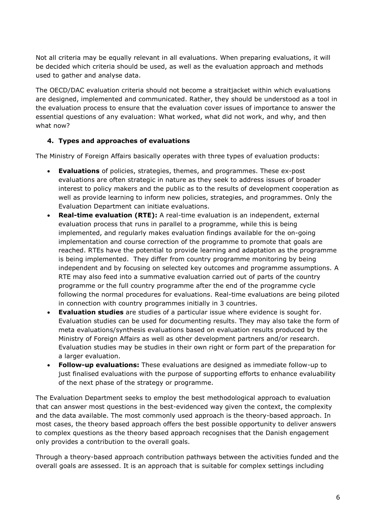Not all criteria may be equally relevant in all evaluations. When preparing evaluations, it will be decided which criteria should be used, as well as the evaluation approach and methods used to gather and analyse data.

The OECD/DAC evaluation criteria should not become a straitjacket within which evaluations are designed, implemented and communicated. Rather, they should be understood as a tool in the evaluation process to ensure that the evaluation cover issues of importance to answer the essential questions of any evaluation: What worked, what did not work, and why, and then what now?

#### **4. Types and approaches of evaluations**

The Ministry of Foreign Affairs basically operates with three types of evaluation products:

- **Evaluations** of policies, strategies, themes, and programmes. These ex-post evaluations are often strategic in nature as they seek to address issues of broader interest to policy makers and the public as to the results of development cooperation as well as provide learning to inform new policies, strategies, and programmes. Only the Evaluation Department can initiate evaluations.
- **Real-time evaluation (RTE):** A real-time evaluation is an independent, external evaluation process that runs in parallel to a programme, while this is being implemented, and regularly makes evaluation findings available for the on-going implementation and course correction of the programme to promote that goals are reached. RTEs have the potential to provide learning and adaptation as the programme is being implemented. They differ from country programme monitoring by being independent and by focusing on selected key outcomes and programme assumptions. A RTE may also feed into a summative evaluation carried out of parts of the country programme or the full country programme after the end of the programme cycle following the normal procedures for evaluations. Real-time evaluations are being piloted in connection with country programmes initially in 3 countries.
- **Evaluation studies** are studies of a particular issue where evidence is sought for. Evaluation studies can be used for documenting results. They may also take the form of meta evaluations/synthesis evaluations based on evaluation results produced by the Ministry of Foreign Affairs as well as other development partners and/or research. Evaluation studies may be studies in their own right or form part of the preparation for a larger evaluation.
- **Follow-up evaluations:** These evaluations are designed as immediate follow-up to just finalised evaluations with the purpose of supporting efforts to enhance evaluability of the next phase of the strategy or programme.

The Evaluation Department seeks to employ the best methodological approach to evaluation that can answer most questions in the best-evidenced way given the context, the complexity and the data available. The most commonly used approach is the theory-based approach. In most cases, the theory based approach offers the best possible opportunity to deliver answers to complex questions as the theory based approach recognises that the Danish engagement only provides a contribution to the overall goals.

Through a theory-based approach contribution pathways between the activities funded and the overall goals are assessed. It is an approach that is suitable for complex settings including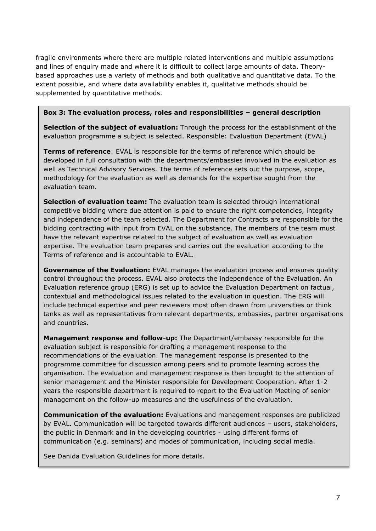fragile environments where there are multiple related interventions and multiple assumptions and lines of enquiry made and where it is difficult to collect large amounts of data. Theorybased approaches use a variety of methods and both qualitative and quantitative data. To the extent possible, and where data availability enables it, qualitative methods should be supplemented by quantitative methods.

#### **Box 3: The evaluation process, roles and responsibilities – general description**

**Selection of the subject of evaluation:** Through the process for the establishment of the evaluation programme a subject is selected. Responsible: Evaluation Department (EVAL)

**Terms of reference**: EVAL is responsible for the terms of reference which should be developed in full consultation with the departments/embassies involved in the evaluation as well as Technical Advisory Services. The terms of reference sets out the purpose, scope, methodology for the evaluation as well as demands for the expertise sought from the evaluation team.

**Selection of evaluation team:** The evaluation team is selected through international competitive bidding where due attention is paid to ensure the right competencies, integrity and independence of the team selected. The Department for Contracts are responsible for the bidding contracting with input from EVAL on the substance. The members of the team must have the relevant expertise related to the subject of evaluation as well as evaluation expertise. The evaluation team prepares and carries out the evaluation according to the Terms of reference and is accountable to EVAL.

**Governance of the Evaluation:** EVAL manages the evaluation process and ensures quality control throughout the process. EVAL also protects the independence of the Evaluation. An Evaluation reference group (ERG) is set up to advice the Evaluation Department on factual, contextual and methodological issues related to the evaluation in question. The ERG will include technical expertise and peer reviewers most often drawn from universities or think tanks as well as representatives from relevant departments, embassies, partner organisations and countries.

**Management response and follow-up:** The Department/embassy responsible for the evaluation subject is responsible for drafting a management response to the recommendations of the evaluation. The management response is presented to the programme committee for discussion among peers and to promote learning across the organisation. The evaluation and management response is then brought to the attention of senior management and the Minister responsible for Development Cooperation. After 1-2 years the responsible department is required to report to the Evaluation Meeting of senior management on the follow-up measures and the usefulness of the evaluation.

**Communication of the evaluation:** Evaluations and management responses are publicized by EVAL. Communication will be targeted towards different audiences – users, stakeholders, the public in Denmark and in the developing countries - using different forms of communication (e.g. seminars) and modes of communication, including social media.

See Danida Evaluation Guidelines for more details.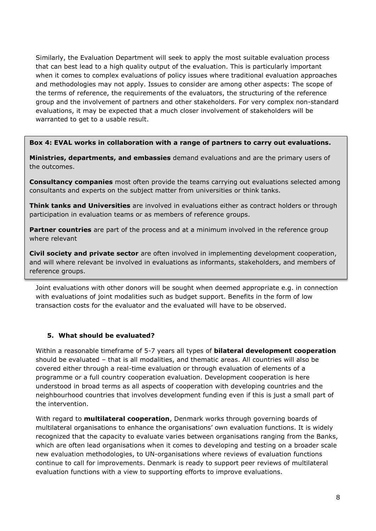Similarly, the Evaluation Department will seek to apply the most suitable evaluation process that can best lead to a high quality output of the evaluation. This is particularly important when it comes to complex evaluations of policy issues where traditional evaluation approaches and methodologies may not apply. Issues to consider are among other aspects: The scope of the terms of reference, the requirements of the evaluators, the structuring of the reference group and the involvement of partners and other stakeholders. For very complex non-standard evaluations, it may be expected that a much closer involvement of stakeholders will be warranted to get to a usable result.

**Box 4: EVAL works in collaboration with a range of partners to carry out evaluations.**

**Ministries, departments, and embassies** demand evaluations and are the primary users of the outcomes.

**Consultancy companies** most often provide the teams carrying out evaluations selected among consultants and experts on the subject matter from universities or think tanks.

**Think tanks and Universities** are involved in evaluations either as contract holders or through participation in evaluation teams or as members of reference groups.

**Partner countries** are part of the process and at a minimum involved in the reference group where relevant

**Civil society and private sector** are often involved in implementing development cooperation, and will where relevant be involved in evaluations as informants, stakeholders, and members of reference groups.

Joint evaluations with other donors will be sought when deemed appropriate e.g. in connection with evaluations of joint modalities such as budget support. Benefits in the form of low transaction costs for the evaluator and the evaluated will have to be observed.

# **5. What should be evaluated?**

Within a reasonable timeframe of 5-7 years all types of **bilateral development cooperation** should be evaluated – that is all modalities, and thematic areas. All countries will also be covered either through a real-time evaluation or through evaluation of elements of a programme or a full country cooperation evaluation. Development cooperation is here understood in broad terms as all aspects of cooperation with developing countries and the neighbourhood countries that involves development funding even if this is just a small part of the intervention.

With regard to **multilateral cooperation**, Denmark works through governing boards of multilateral organisations to enhance the organisations' own evaluation functions. It is widely recognized that the capacity to evaluate varies between organisations ranging from the Banks, which are often lead organisations when it comes to developing and testing on a broader scale new evaluation methodologies, to UN-organisations where reviews of evaluation functions continue to call for improvements. Denmark is ready to support peer reviews of multilateral evaluation functions with a view to supporting efforts to improve evaluations.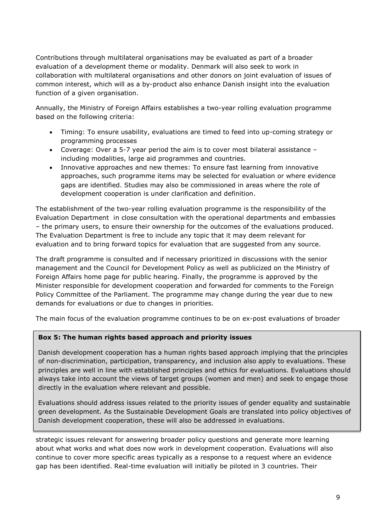Contributions through multilateral organisations may be evaluated as part of a broader evaluation of a development theme or modality. Denmark will also seek to work in collaboration with multilateral organisations and other donors on joint evaluation of issues of common interest, which will as a by-product also enhance Danish insight into the evaluation function of a given organisation.

Annually, the Ministry of Foreign Affairs establishes a two-year rolling evaluation programme based on the following criteria:

- Timing: To ensure usability, evaluations are timed to feed into up-coming strategy or programming processes
- Coverage: Over a 5-7 year period the aim is to cover most bilateral assistance including modalities, large aid programmes and countries.
- Innovative approaches and new themes: To ensure fast learning from innovative approaches, such programme items may be selected for evaluation or where evidence gaps are identified. Studies may also be commissioned in areas where the role of development cooperation is under clarification and definition.

The establishment of the two-year rolling evaluation programme is the responsibility of the Evaluation Department in close consultation with the operational departments and embassies – the primary users, to ensure their ownership for the outcomes of the evaluations produced. The Evaluation Department is free to include any topic that it may deem relevant for evaluation and to bring forward topics for evaluation that are suggested from any source.

The draft programme is consulted and if necessary prioritized in discussions with the senior management and the Council for Development Policy as well as publicized on the Ministry of Foreign Affairs home page for public hearing. Finally, the programme is approved by the Minister responsible for development cooperation and forwarded for comments to the Foreign Policy Committee of the Parliament. The programme may change during the year due to new demands for evaluations or due to changes in priorities.

The main focus of the evaluation programme continues to be on ex-post evaluations of broader

#### **Box 5: The human rights based approach and priority issues**

Danish development cooperation has a human rights based approach implying that the principles of non-discrimination, participation, transparency, and inclusion also apply to evaluations. These principles are well in line with established principles and ethics for evaluations. Evaluations should always take into account the views of target groups (women and men) and seek to engage those directly in the evaluation where relevant and possible.

Evaluations should address issues related to the priority issues of gender equality and sustainable green development. As the Sustainable Development Goals are translated into policy objectives of Danish development cooperation, these will also be addressed in evaluations.

strategic issues relevant for answering broader policy questions and generate more learning about what works and what does now work in development cooperation. Evaluations will also continue to cover more specific areas typically as a response to a request where an evidence gap has been identified. Real-time evaluation will initially be piloted in 3 countries. Their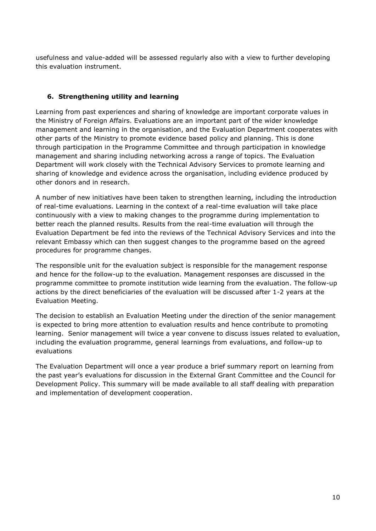usefulness and value-added will be assessed regularly also with a view to further developing this evaluation instrument.

#### **6. Strengthening utility and learning**

Learning from past experiences and sharing of knowledge are important corporate values in the Ministry of Foreign Affairs. Evaluations are an important part of the wider knowledge management and learning in the organisation, and the Evaluation Department cooperates with other parts of the Ministry to promote evidence based policy and planning. This is done through participation in the Programme Committee and through participation in knowledge management and sharing including networking across a range of topics. The Evaluation Department will work closely with the Technical Advisory Services to promote learning and sharing of knowledge and evidence across the organisation, including evidence produced by other donors and in research.

A number of new initiatives have been taken to strengthen learning, including the introduction of real-time evaluations. Learning in the context of a real-time evaluation will take place continuously with a view to making changes to the programme during implementation to better reach the planned results. Results from the real-time evaluation will through the Evaluation Department be fed into the reviews of the Technical Advisory Services and into the relevant Embassy which can then suggest changes to the programme based on the agreed procedures for programme changes.

The responsible unit for the evaluation subject is responsible for the management response and hence for the follow-up to the evaluation. Management responses are discussed in the programme committee to promote institution wide learning from the evaluation. The follow-up actions by the direct beneficiaries of the evaluation will be discussed after 1-2 years at the Evaluation Meeting.

The decision to establish an Evaluation Meeting under the direction of the senior management is expected to bring more attention to evaluation results and hence contribute to promoting learning. Senior management will twice a year convene to discuss issues related to evaluation, including the evaluation programme, general learnings from evaluations, and follow-up to evaluations

The Evaluation Department will once a year produce a brief summary report on learning from the past year's evaluations for discussion in the External Grant Committee and the Council for Development Policy. This summary will be made available to all staff dealing with preparation and implementation of development cooperation.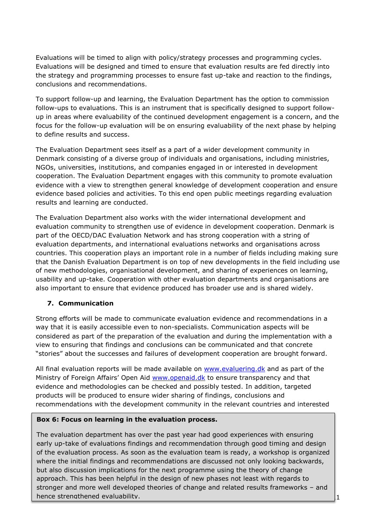Evaluations will be timed to align with policy/strategy processes and programming cycles. Evaluations will be designed and timed to ensure that evaluation results are fed directly into the strategy and programming processes to ensure fast up-take and reaction to the findings, conclusions and recommendations.

To support follow-up and learning, the Evaluation Department has the option to commission follow-ups to evaluations. This is an instrument that is specifically designed to support followup in areas where evaluability of the continued development engagement is a concern, and the focus for the follow-up evaluation will be on ensuring evaluability of the next phase by helping to define results and success.

The Evaluation Department sees itself as a part of a wider development community in Denmark consisting of a diverse group of individuals and organisations, including ministries, NGOs, universities, institutions, and companies engaged in or interested in development cooperation. The Evaluation Department engages with this community to promote evaluation evidence with a view to strengthen general knowledge of development cooperation and ensure evidence based policies and activities. To this end open public meetings regarding evaluation results and learning are conducted.

The Evaluation Department also works with the wider international development and evaluation community to strengthen use of evidence in development cooperation. Denmark is part of the OECD/DAC Evaluation Network and has strong cooperation with a string of evaluation departments, and international evaluations networks and organisations across countries. This cooperation plays an important role in a number of fields including making sure that the Danish Evaluation Department is on top of new developments in the field including use of new methodologies, organisational development, and sharing of experiences on learning, usability and up-take. Cooperation with other evaluation departments and organisations are also important to ensure that evidence produced has broader use and is shared widely.

# **7. Communication**

Strong efforts will be made to communicate evaluation evidence and recommendations in a way that it is easily accessible even to non-specialists. Communication aspects will be considered as part of the preparation of the evaluation and during the implementation with a view to ensuring that findings and conclusions can be communicated and that concrete "stories" about the successes and failures of development cooperation are brought forward.

All final evaluation reports will be made available on [www.evaluering.dk](http://www.evaluering.dk/) and as part of the Ministry of Foreign Affairs' Open Aid [www.openaid.dk](http://www.openaid.dk/) to ensure transparency and that evidence and methodologies can be checked and possibly tested. In addition, targeted products will be produced to ensure wider sharing of findings, conclusions and recommendations with the development community in the relevant countries and interested

#### **Box 6: Focus on learning in the evaluation process.**

The evaluation department has over the past year had good experiences with ensuring early up-take of evaluations findings and recommendation through good timing and design of the evaluation process. As soon as the evaluation team is ready, a workshop is organized where the initial findings and recommendations are discussed not only looking backwards, but also discussion implications for the next programme using the theory of change approach. This has been helpful in the design of new phases not least with regards to stronger and more well developed theories of change and related results frameworks – and hence strengthened evaluability.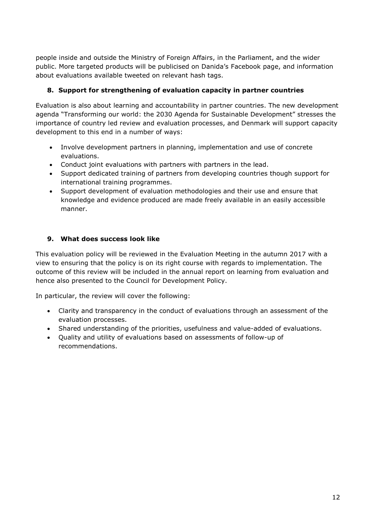people inside and outside the Ministry of Foreign Affairs, in the Parliament, and the wider public. More targeted products will be publicised on Danida's Facebook page, and information about evaluations available tweeted on relevant hash tags.

# **8. Support for strengthening of evaluation capacity in partner countries**

Evaluation is also about learning and accountability in partner countries. The new development agenda "Transforming our world: the 2030 Agenda for Sustainable Development" stresses the importance of country led review and evaluation processes, and Denmark will support capacity development to this end in a number of ways:

- Involve development partners in planning, implementation and use of concrete evaluations.
- Conduct joint evaluations with partners with partners in the lead.
- Support dedicated training of partners from developing countries though support for international training programmes.
- Support development of evaluation methodologies and their use and ensure that knowledge and evidence produced are made freely available in an easily accessible manner.

#### **9. What does success look like**

This evaluation policy will be reviewed in the Evaluation Meeting in the autumn 2017 with a view to ensuring that the policy is on its right course with regards to implementation. The outcome of this review will be included in the annual report on learning from evaluation and hence also presented to the Council for Development Policy.

In particular, the review will cover the following:

- Clarity and transparency in the conduct of evaluations through an assessment of the evaluation processes.
- Shared understanding of the priorities, usefulness and value-added of evaluations.
- Quality and utility of evaluations based on assessments of follow-up of recommendations.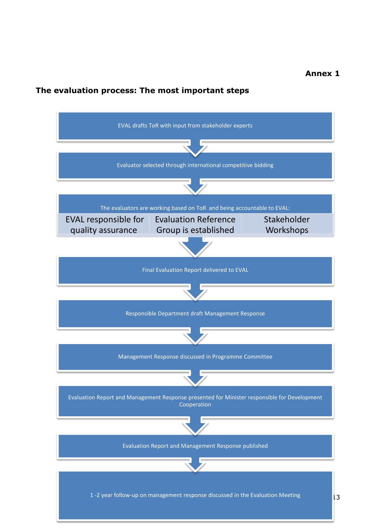# **Annex 1**

# **The evaluation process: The most important steps**